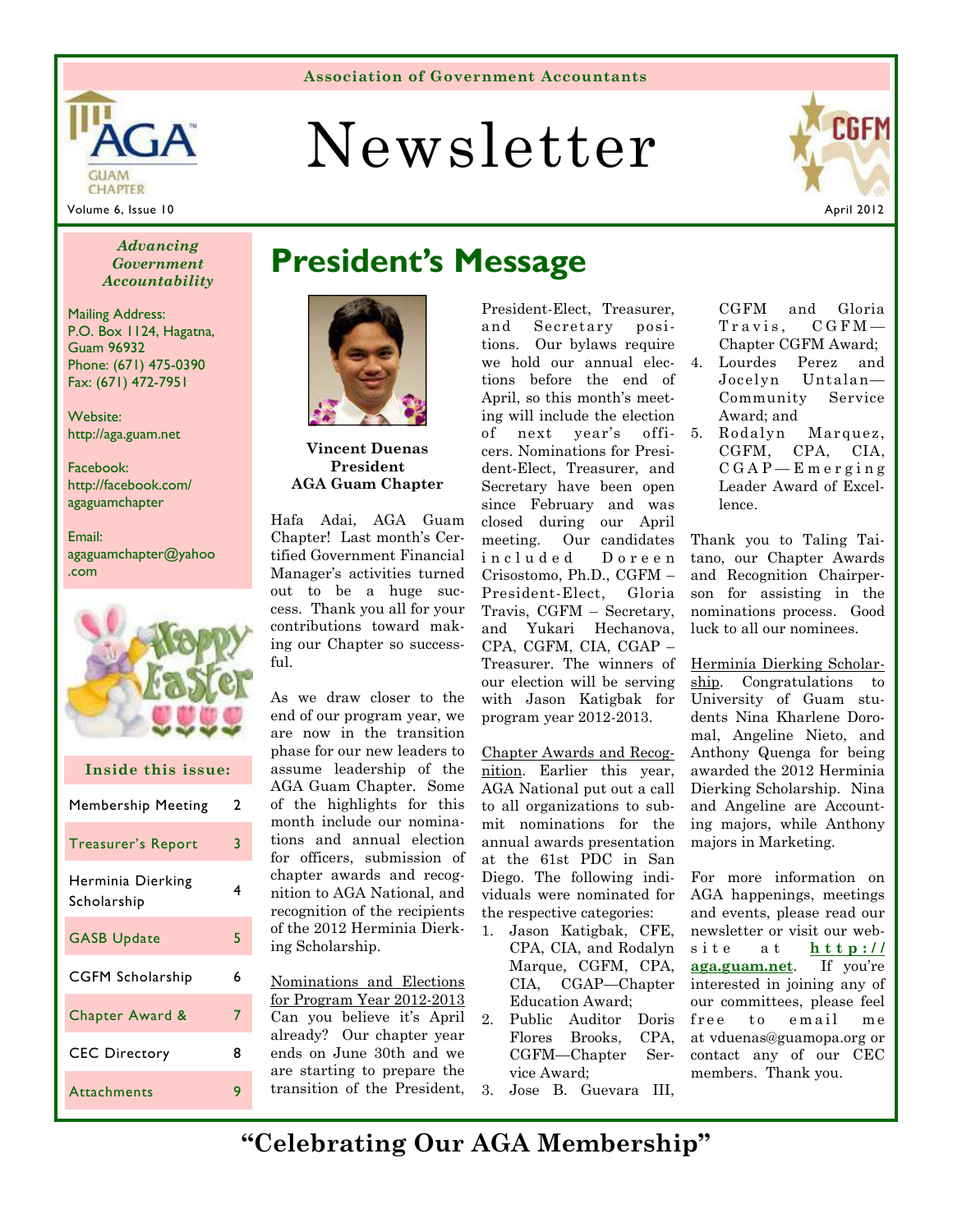# Newsletter



**CHAPTER** Volume 6, Issue 10 April 2012

**GUAM** 

### *Government Accountability*

Mailing Address: P.O. Box 1124, Hagatna, Guam 96932 Phone: (671) 475-0390 Fax: (671) 472-7951

Website: http://aga.guam.net

Facebook: http://facebook.com/ agaguamchapter

Email: agaguamchapter@yahoo .com



| Inside this issue:               |   |  |  |  |  |
|----------------------------------|---|--|--|--|--|
| Membership Meeting               | 2 |  |  |  |  |
| Treasurer's Report               | 3 |  |  |  |  |
| Herminia Dierking<br>Scholarship | 4 |  |  |  |  |
| <b>GASB Update</b>               | 5 |  |  |  |  |
| <b>CGFM Scholarship</b>          | 6 |  |  |  |  |
| Chapter Award &                  | 7 |  |  |  |  |
| <b>CEC Directory</b>             | 8 |  |  |  |  |
| <b>Attachments</b>               | 9 |  |  |  |  |

## **President's Message** *Advancing*



**Vincent Duenas President AGA Guam Chapter** 

Hafa Adai, AGA Guam Chapter! Last month's Certified Government Financial Manager's activities turned out to be a huge success. Thank you all for your contributions toward making our Chapter so successful.

As we draw closer to the end of our program year, we are now in the transition phase for our new leaders to assume leadership of the AGA Guam Chapter. Some of the highlights for this month include our nominations and annual election for officers, submission of chapter awards and recognition to AGA National, and recognition of the recipients of the 2012 Herminia Dierking Scholarship.

Nominations and Elections for Program Year 2012-2013 Can you believe it's April already? Our chapter year ends on June 30th and we are starting to prepare the transition of the President,

President-Elect, Treasurer, and Secretary positions. Our bylaws require we hold our annual elections before the end of April, so this month's meeting will include the election of next year's officers. Nominations for President-Elect, Treasurer, and Secretary have been open since February and was closed during our April meeting. Our candidates in cluded Doreen Crisostomo, Ph.D., CGFM – President-Elect, Gloria Travis, CGFM – Secretary, and Yukari Hechanova, CPA, CGFM, CIA, CGAP – Treasurer. The winners of our election will be serving with Jason Katigbak for program year 2012-2013.

Chapter Awards and Recognition. Earlier this year, AGA National put out a call to all organizations to submit nominations for the annual awards presentation at the 61st PDC in San Diego. The following individuals were nominated for the respective categories:

- 1. Jason Katigbak, CFE, CPA, CIA, and Rodalyn Marque, CGFM, CPA, CIA, CGAP—Chapter Education Award;
- 2. Public Auditor Doris Flores Brooks, CPA, CGFM—Chapter Service Award;
- 3. Jose B. Guevara III,

CGFM and Gloria  $Travis, CGFM-$ Chapter CGFM Award;

- 4. Lourdes Perez and Jocelyn Untalan— Community Service Award; and
- 5. Rodalyn Marquez, CGFM, CPA, CIA,  $C G A P - E m e r g i n g$ Leader Award of Excellence.

Thank you to Taling Taitano, our Chapter Awards and Recognition Chairperson for assisting in the nominations process. Good luck to all our nominees.

Herminia Dierking Scholarship. Congratulations to University of Guam students Nina Kharlene Doromal, Angeline Nieto, and Anthony Quenga for being awarded the 2012 Herminia Dierking Scholarship. Nina and Angeline are Accounting majors, while Anthony majors in Marketing.

For more information on AGA happenings, meetings and events, please read our newsletter or visit our website at **http:// aga.guam.net**. If you're interested in joining any of our committees, please feel free to email me at vduenas@guamopa.org or contact any of our CEC members. Thank you.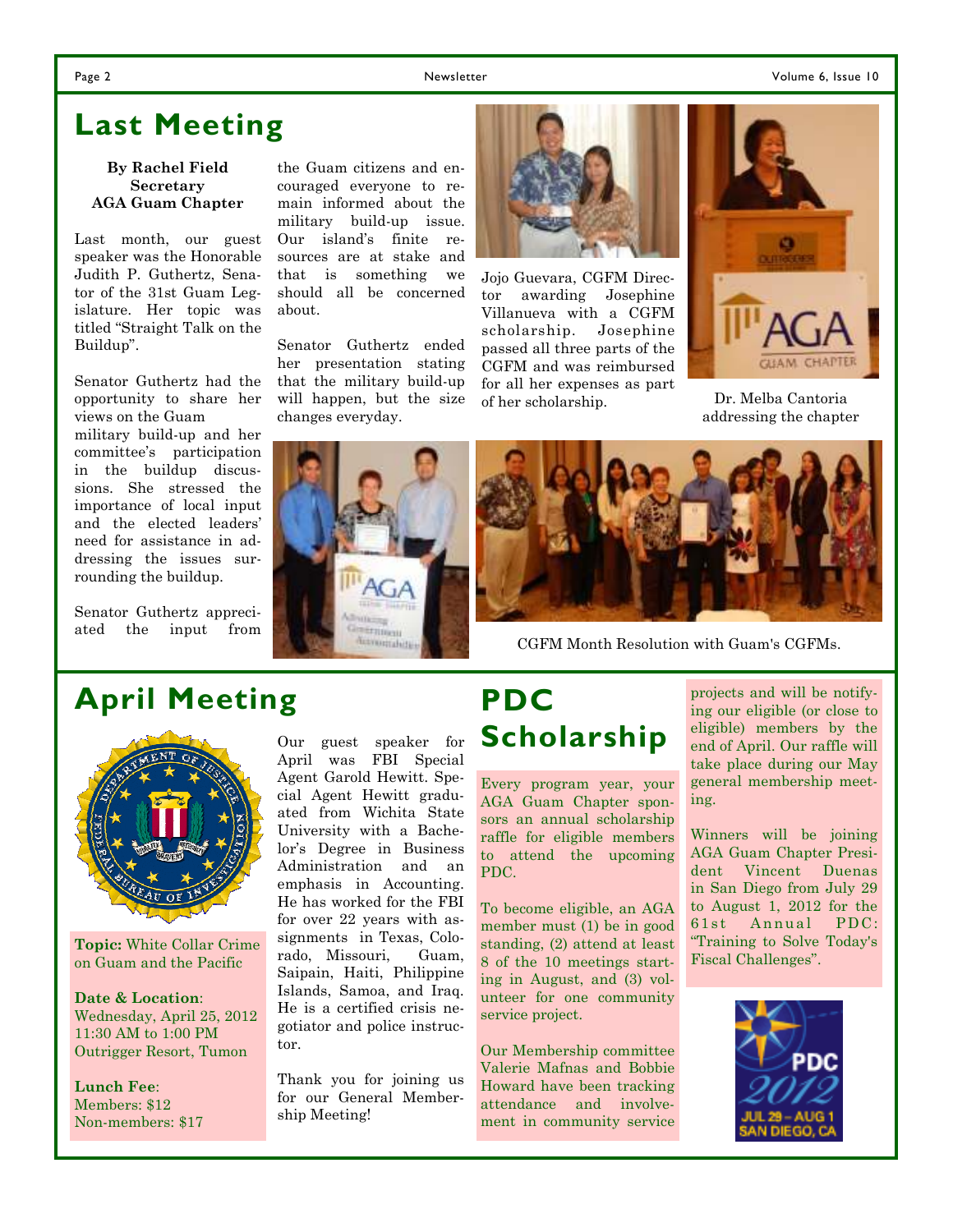### **Last Meeting**

#### **By Rachel Field Secretary AGA Guam Chapter**

Last month, our guest speaker was the Honorable Judith P. Guthertz, Senator of the 31st Guam Legislature. Her topic was titled "Straight Talk on the Buildup".

Senator Guthertz had the opportunity to share her views on the Guam military build-up and her committee's participation in the buildup discussions. She stressed the importance of local input and the elected leaders' need for assistance in addressing the issues surrounding the buildup.

Senator Guthertz appreciated the input from

### **April Meeting**

**Topic:** White Collar Crime on Guam and the Pacific

**Date & Location**: Wednesday, April 25, 2012 11:30 AM to 1:00 PM Outrigger Resort, Tumon

**Lunch Fee**: Members: \$12 Non-members: \$17 Our guest speaker for April was FBI Special Agent Garold Hewitt. Special Agent Hewitt graduated from Wichita State University with a Bachelor's Degree in Business Administration and an emphasis in Accounting. He has worked for the FBI for over 22 years with assignments in Texas, Colorado, Missouri, Guam, Saipain, Haiti, Philippine Islands, Samoa, and Iraq. He is a certified crisis negotiator and police instructor.

Thank you for joining us for our General Membership Meeting!

### **PDC Scholarship**

CGFM Month Resolution with Guam's CGFMs.

Every program year, your AGA Guam Chapter sponsors an annual scholarship raffle for eligible members to attend the upcoming PDC.

To become eligible, an AGA member must (1) be in good standing, (2) attend at least 8 of the 10 meetings starting in August, and (3) volunteer for one community service project.

Our Membership committee Valerie Mafnas and Bobbie Howard have been tracking attendance and involvement in community service

projects and will be notifying our eligible (or close to eligible) members by the end of April. Our raffle will take place during our May general membership meeting.

Winners will be joining AGA Guam Chapter President Vincent Duenas in San Diego from July 29 to August 1, 2012 for the 61st Annual PDC: "Training to Solve Today's Fiscal Challenges".



the Guam citizens and encouraged everyone to remain informed about the military build-up issue. Our island's finite resources are at stake and that is something we should all be concerned about.

Senator Guthertz ended her presentation stating that the military build-up will happen, but the size changes everyday.



Jojo Guevara, CGFM Director awarding Josephine Villanueva with a CGFM scholarship. Josephine passed all three parts of the CGFM and was reimbursed for all her expenses as part of her scholarship.



Dr. Melba Cantoria addressing the chapter

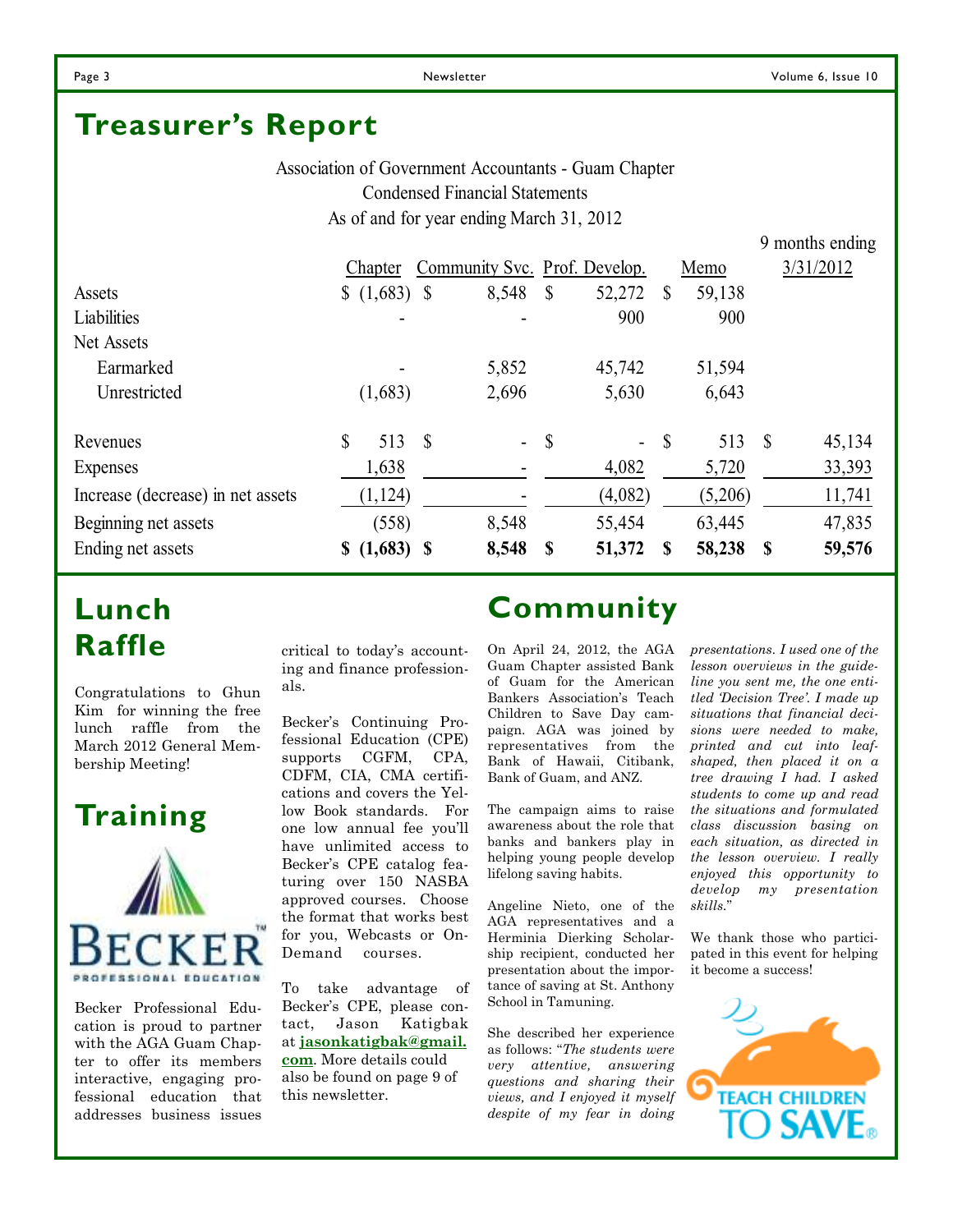9 months ending

### **Treasurer's Report**

Association of Government Accountants - Guam Chapter Condensed Financial Statements As of and for year ending March 31, 2012

|                                   | Chapter            |   | Community Svc. Prof. Develop. |               |         |              | Memo    |              | 3/31/2012 |
|-----------------------------------|--------------------|---|-------------------------------|---------------|---------|--------------|---------|--------------|-----------|
| Assets                            |                    |   | 8,548                         | $\mathcal{S}$ | 52,272  | S            | 59,138  |              |           |
| Liabilities                       |                    |   |                               |               | 900     |              | 900     |              |           |
| Net Assets                        |                    |   |                               |               |         |              |         |              |           |
| Earmarked                         |                    |   | 5,852                         |               | 45,742  |              | 51,594  |              |           |
| Unrestricted                      | (1,683)            |   | 2,696                         |               | 5,630   |              | 6,643   |              |           |
| Revenues                          | \$<br>513          | S | $\mathbf{r}$                  | $\mathcal{S}$ | $\sim$  | $\mathbb{S}$ | 513     | $\mathbb{S}$ | 45,134    |
| Expenses                          | 1,638              |   |                               |               | 4,082   |              | 5,720   |              | 33,393    |
| Increase (decrease) in net assets | (1, 124)           |   |                               |               | (4,082) |              | (5,206) |              | 11,741    |
| Beginning net assets              | (558)              |   | 8,548                         |               | 55,454  |              | 63,445  |              | 47,835    |
| Ending net assets                 | $(1,683)$ \$<br>\$ |   | 8,548                         | - \$          | 51,372  | S            | 58,238  | S            | 59,576    |

### **Lunch Raffle**

Congratulations to Ghun Kim for winning the free lunch raffle from the March 2012 General Membership Meeting!

### **Training**



Becker Professional Education is proud to partner with the AGA Guam Chapter to offer its members interactive, engaging professional education that addresses business issues

critical to today's accounting and finance professionals.

Becker's Continuing Professional Education (CPE) supports CGFM, CPA, CDFM, CIA, CMA certifications and covers the Yellow Book standards. For one low annual fee you'll have unlimited access to Becker's CPE catalog featuring over 150 NASBA approved courses. Choose the format that works best for you, Webcasts or On-Demand courses.

To take advantage of Becker's CPE, please contact, Jason Katigbak at **jasonkatigbak@gmail. com**. More details could also be found on page 9 of this newsletter.

### **Community**

On April 24, 2012, the AGA Guam Chapter assisted Bank of Guam for the American Bankers Association's Teach Children to Save Day campaign. AGA was joined by representatives from the Bank of Hawaii, Citibank, Bank of Guam, and ANZ.

The campaign aims to raise awareness about the role that banks and bankers play in helping young people develop lifelong saving habits.

Angeline Nieto, one of the AGA representatives and a Herminia Dierking Scholarship recipient, conducted her presentation about the importance of saving at St. Anthony School in Tamuning.

She described her experience as follows: "*The students were very attentive, answering questions and sharing their views, and I enjoyed it myself despite of my fear in doing* 

*presentations. I used one of the lesson overviews in the guideline you sent me, the one entitled 'Decision Tree'. I made up situations that financial decisions were needed to make, printed and cut into leafshaped, then placed it on a tree drawing I had. I asked students to come up and read the situations and formulated class discussion basing on each situation, as directed in the lesson overview. I really enjoyed this opportunity to develop my presentation skills.*"

We thank those who participated in this event for helping it become a success!

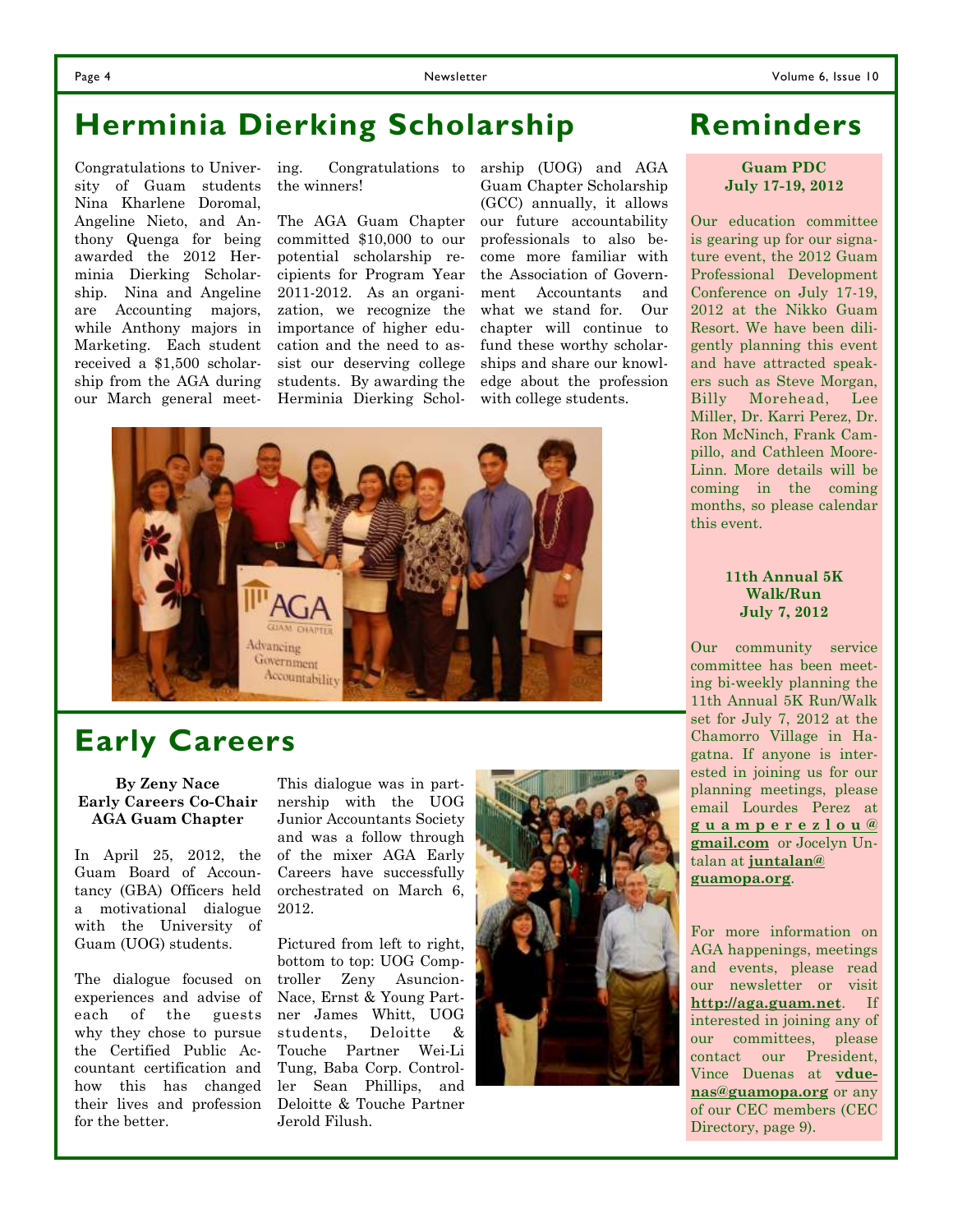### **Herminia Dierking Scholarship**

Congratulations to University of Guam students Nina Kharlene Doromal, Angeline Nieto, and Anthony Quenga for being awarded the 2012 Herminia Dierking Scholarship. Nina and Angeline are Accounting majors, while Anthony majors in Marketing. Each student received a \$1,500 scholarship from the AGA during our March general meeting. Congratulations to the winners!

The AGA Guam Chapter committed \$10,000 to our potential scholarship recipients for Program Year 2011-2012. As an organization, we recognize the importance of higher education and the need to assist our deserving college students. By awarding the Herminia Dierking Scholarship (UOG) and AGA Guam Chapter Scholarship (GCC) annually, it allows our future accountability professionals to also become more familiar with the Association of Government Accountants and what we stand for. Our chapter will continue to fund these worthy scholarships and share our knowledge about the profession with college students.



### **Early Careers**

**By Zeny Nace Early Careers Co-Chair AGA Guam Chapter** 

In April 25, 2012, the Guam Board of Accountancy (GBA) Officers held a motivational dialogue with the University of Guam (UOG) students.

The dialogue focused on experiences and advise of each of the guests why they chose to pursue the Certified Public Accountant certification and how this has changed their lives and profession for the better.

This dialogue was in partnership with the UOG Junior Accountants Society and was a follow through of the mixer AGA Early Careers have successfully orchestrated on March 6, 2012.

Pictured from left to right, bottom to top: UOG Comptroller Zeny Asuncion-Nace, Ernst & Young Partner James Whitt, UOG students, Deloitte & Touche Partner Wei-Li Tung, Baba Corp. Controller Sean Phillips, and Deloitte & Touche Partner Jerold Filush.



### **Reminders**

#### **Guam PDC July 17-19, 2012**

Our education committee is gearing up for our signature event, the 2012 Guam Professional Development Conference on July 17-19, 2012 at the Nikko Guam Resort. We have been diligently planning this event and have attracted speakers such as Steve Morgan, Billy Morehead, Lee Miller, Dr. Karri Perez, Dr. Ron McNinch, Frank Campillo, and Cathleen Moore-Linn. More details will be coming in the coming months, so please calendar this event.

#### **11th Annual 5K Walk/Run July 7, 2012**

Our community service committee has been meeting bi-weekly planning the 11th Annual 5K Run/Walk set for July 7, 2012 at the Chamorro Village in Hagatna. If anyone is interested in joining us for our planning meetings, please email Lourdes Perez at **g u a m p e r e z l o u @ gmail.com** or Jocelyn Untalan at **juntalan@ guamopa.org**.

For more information on AGA happenings, meetings and events, please read our newsletter or visit **http://aga.guam.net**. If interested in joining any of our committees, please contact our President, Vince Duenas at **vduenas@guamopa.org** or any of our CEC members (CEC Directory, page 9).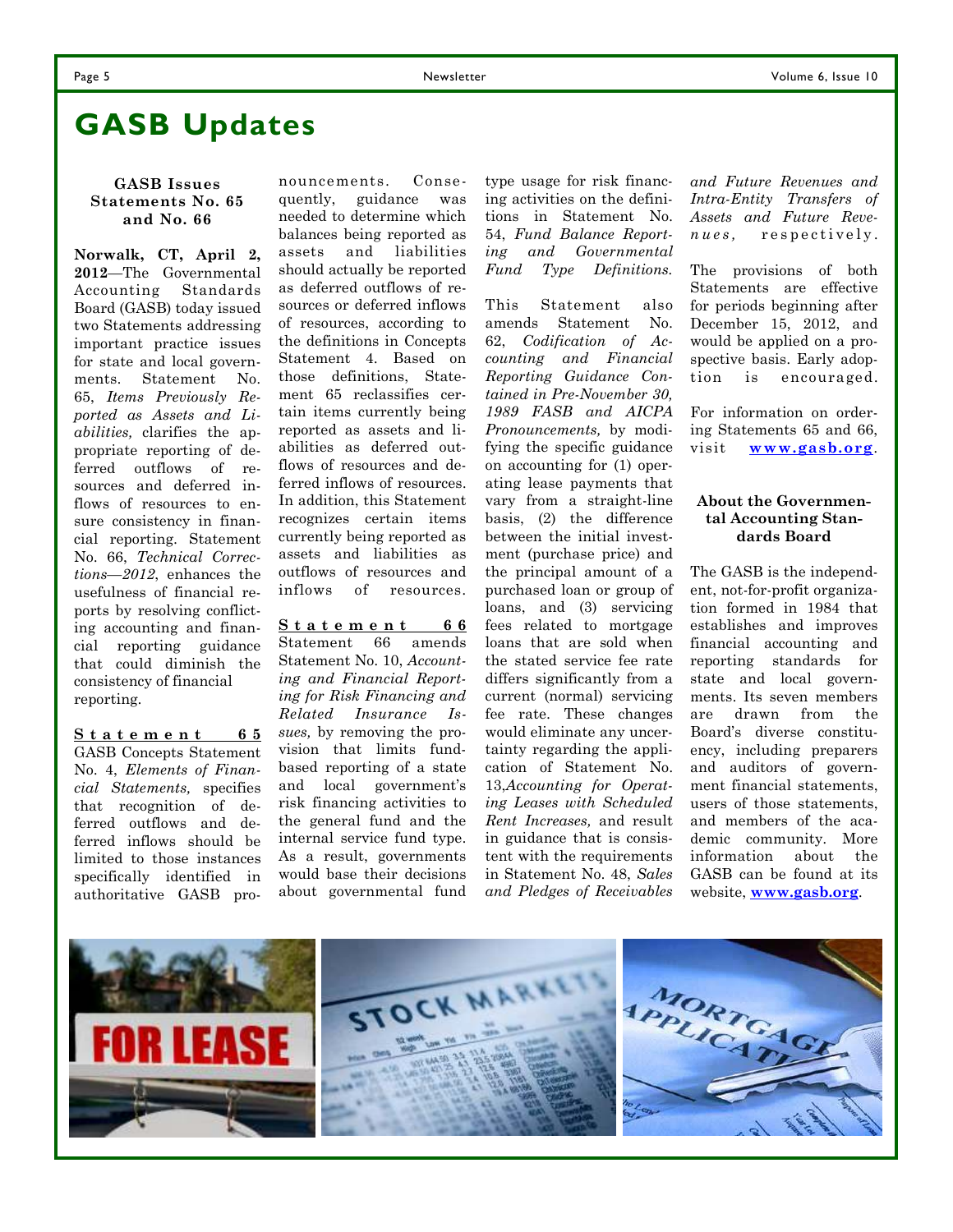### **GASB Updates**

#### **GASB Issues Statements No. 65 and No. 66**

**Norwalk, CT, April 2, 2012**—The Governmental Accounting Standards Board (GASB) today issued two Statements addressing important practice issues for state and local governments. Statement No. 65, *Items Previously Reported as Assets and Liabilities,* clarifies the appropriate reporting of deferred outflows of resources and deferred inflows of resources to ensure consistency in financial reporting. Statement No. 66, *Technical Corrections—2012*, enhances the usefulness of financial reports by resolving conflicting accounting and financial reporting guidance that could diminish the consistency of financial reporting.

**S t a t e m e n t 6 5** GASB Concepts Statement No. 4, *Elements of Financial Statements,* specifies that recognition of deferred outflows and deferred inflows should be limited to those instances specifically identified in authoritative GASB pro-

nouncements. Consequently, guidance was needed to determine which balances being reported as assets and liabilities should actually be reported as deferred outflows of resources or deferred inflows of resources, according to the definitions in Concepts Statement 4. Based on those definitions, Statement 65 reclassifies certain items currently being reported as assets and liabilities as deferred outflows of resources and deferred inflows of resources. In addition, this Statement recognizes certain items currently being reported as assets and liabilities as outflows of resources and inflows of resources.

**S t a t e m e n t 6 6** Statement 66 amends Statement No. 10, *Accounting and Financial Reporting for Risk Financing and Related Insurance Issues,* by removing the provision that limits fundbased reporting of a state and local government's risk financing activities to the general fund and the internal service fund type. As a result, governments would base their decisions about governmental fund type usage for risk financing activities on the definitions in Statement No. 54, *Fund Balance Reporting and Governmental Fund Type Definitions.*

This Statement also amends Statement No. 62, *Codification of Accounting and Financial Reporting Guidance Contained in Pre-November 30, 1989 FASB and AICPA Pronouncements,* by modifying the specific guidance on accounting for (1) operating lease payments that vary from a straight-line basis, (2) the difference between the initial investment (purchase price) and the principal amount of a purchased loan or group of loans, and (3) servicing fees related to mortgage loans that are sold when the stated service fee rate differs significantly from a current (normal) servicing fee rate. These changes would eliminate any uncertainty regarding the application of Statement No. 13,*Accounting for Operating Leases with Scheduled Rent Increases,* and result in guidance that is consistent with the requirements in Statement No. 48, *Sales and Pledges of Receivables* 

*and Future Revenues and Intra-Entity Transfers of Assets and Future Revenues*, respectively.

The provisions of both Statements are effective for periods beginning after December 15, 2012, and would be applied on a prospective basis. Early adoption is encouraged.

For information on ordering Statements 65 and 66, visit **www.gasb.org**.

#### **About the Governmental Accounting Standards Board**

The GASB is the independent, not-for-profit organization formed in 1984 that establishes and improves financial accounting and reporting standards for state and local governments. Its seven members are drawn from the Board's diverse constituency, including preparers and auditors of government financial statements, users of those statements, and members of the academic community. More information about the GASB can be found at its website, **www.gasb.org**.

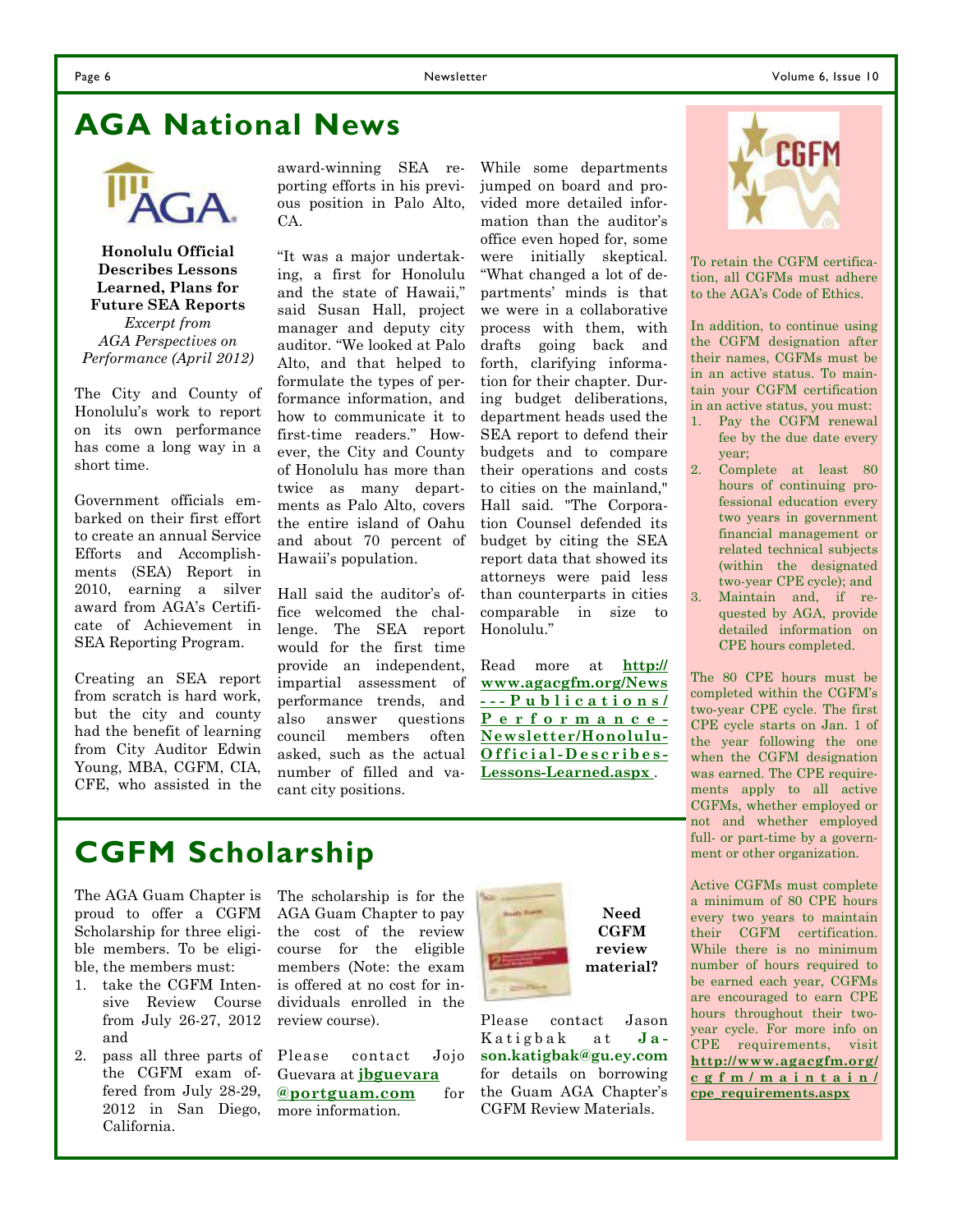### **AGA National News**



**Honolulu Official Describes Lessons Learned, Plans for Future SEA Reports**  *Excerpt from AGA Perspectives on Performance (April 2012)* 

The City and County of Honolulu's work to report on its own performance has come a long way in a short time.

Government officials embarked on their first effort to create an annual Service Efforts and Accomplishments (SEA) Report in 2010, earning a silver award from AGA's Certificate of Achievement in SEA Reporting Program.

Creating an SEA report from scratch is hard work, but the city and county had the benefit of learning from City Auditor Edwin Young, MBA, CGFM, CIA, CFE, who assisted in the

award-winning SEA reporting efforts in his previous position in Palo Alto, CA.

"It was a major undertaking, a first for Honolulu and the state of Hawaii," said Susan Hall, project manager and deputy city auditor. "We looked at Palo Alto, and that helped to formulate the types of performance information, and how to communicate it to first-time readers." However, the City and County of Honolulu has more than twice as many departments as Palo Alto, covers the entire island of Oahu and about 70 percent of Hawaii's population.

Hall said the auditor's office welcomed the challenge. The SEA report would for the first time provide an independent, impartial assessment of performance trends, and also answer questions council members often asked, such as the actual number of filled and vacant city positions.

While some departments jumped on board and provided more detailed information than the auditor's office even hoped for, some were initially skeptical. "What changed a lot of departments' minds is that we were in a collaborative process with them, with drafts going back and forth, clarifying information for their chapter. During budget deliberations, department heads used the SEA report to defend their budgets and to compare their operations and costs to cities on the mainland," Hall said. "The Corporation Counsel defended its budget by citing the SEA report data that showed its attorneys were paid less than counterparts in cities comparable in size to Honolulu."

Read more at **http:// www.agacgfm.org/News - - - P u b l i c a t i o n s / P e r f o r m a n c e - Newsletter/Honolulu-O f f i c i a l - D e s c r i b e s - Lessons-Learned.aspx** .



To retain the CGFM certification, all CGFMs must adhere to the AGA's Code of Ethics.

In addition, to continue using the CGFM designation after their names, CGFMs must be in an active status. To maintain your CGFM certification in an active status, you must:

- 1. Pay the CGFM renewal fee by the due date every year;
- 2. Complete at least 80 hours of continuing professional education every two years in government financial management or related technical subjects (within the designated two-year CPE cycle); and
- 3. Maintain and, if requested by AGA, provide detailed information on CPE hours completed.

The 80 CPE hours must be completed within the CGFM's two-year CPE cycle. The first CPE cycle starts on Jan. 1 of the year following the one when the CGFM designation was earned. The CPE requirements apply to all active CGFMs, whether employed or not and whether employed full- or part-time by a government or other organization.

Active CGFMs must complete a minimum of 80 CPE hours every two years to maintain their CGFM certification. While there is no minimum number of hours required to be earned each year, CGFMs are encouraged to earn CPE hours throughout their twoyear cycle. For more info on CPE requirements, visit **http://www.agacgfm.org/ c g f m / m a i n t a i n / cpe\_requirements.aspx**

### **CGFM Scholarship**

The AGA Guam Chapter is proud to offer a CGFM Scholarship for three eligible members. To be eligible, the members must:

- 1. take the CGFM Intensive Review Course from July 26-27, 2012 and
- 2. pass all three parts of the CGFM exam offered from July 28-29, 2012 in San Diego, California.

The scholarship is for the AGA Guam Chapter to pay the cost of the review course for the eligible members (Note: the exam is offered at no cost for individuals enrolled in the review course).

Please contact Jojo Guevara at **jbguevara @portguam.com** for more information.



**Need CGFM review material?** 

Please contact Jason Katigbak at **Jason.katigbak@gu.ey.com** for details on borrowing the Guam AGA Chapter's CGFM Review Materials.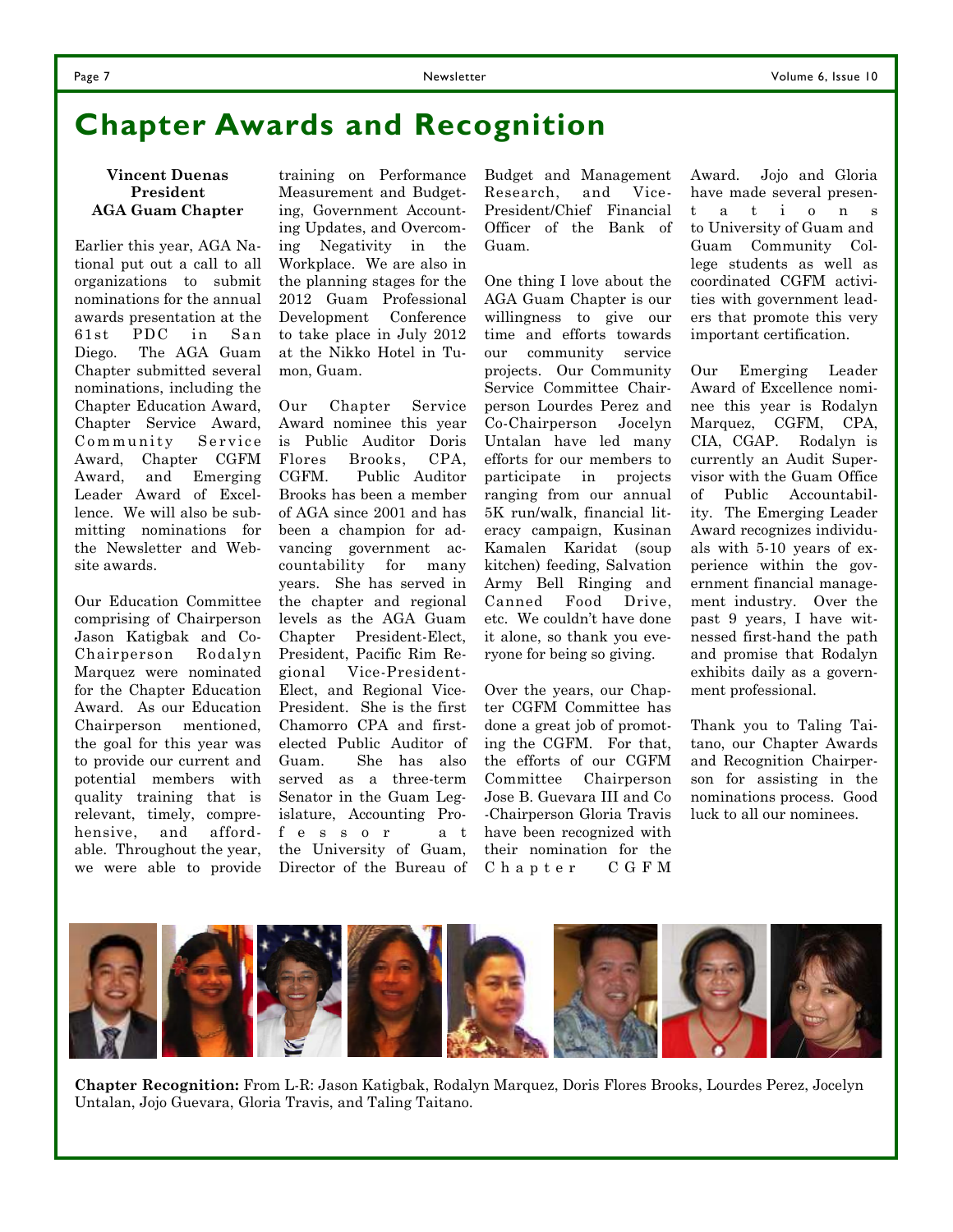### **Chapter Awards and Recognition**

#### **Vincent Duenas President AGA Guam Chapter**

Earlier this year, AGA National put out a call to all organizations to submit nominations for the annual awards presentation at the 61st PDC in San Diego. The AGA Guam Chapter submitted several nominations, including the Chapter Education Award, Chapter Service Award, Community Service Award, Chapter CGFM Award, and Emerging Leader Award of Excellence. We will also be submitting nominations for the Newsletter and Website awards.

Our Education Committee comprising of Chairperson Jason Katigbak and Co-Chairperson Rodalyn Marquez were nominated for the Chapter Education Award. As our Education Chairperson mentioned, the goal for this year was to provide our current and potential members with quality training that is relevant, timely, comprehensive, and affordable. Throughout the year, we were able to provide

training on Performance Measurement and Budgeting, Government Accounting Updates, and Overcoming Negativity in the Workplace. We are also in the planning stages for the 2012 Guam Professional Development Conference to take place in July 2012 at the Nikko Hotel in Tumon, Guam.

Our Chapter Service Award nominee this year is Public Auditor Doris Flores Brooks, CPA, CGFM. Public Auditor Brooks has been a member of AGA since 2001 and has been a champion for advancing government accountability for many years. She has served in the chapter and regional levels as the AGA Guam Chapter President-Elect, President, Pacific Rim Regional Vice-President-Elect, and Regional Vice-President. She is the first Chamorro CPA and firstelected Public Auditor of Guam. She has also served as a three-term Senator in the Guam Legislature, Accounting Prof e s s o r a t the University of Guam, Director of the Bureau of Budget and Management Research, and Vice-President/Chief Financial Officer of the Bank of Guam.

One thing I love about the AGA Guam Chapter is our willingness to give our time and efforts towards our community service projects. Our Community Service Committee Chairperson Lourdes Perez and Co-Chairperson Jocelyn Untalan have led many efforts for our members to participate in projects ranging from our annual 5K run/walk, financial literacy campaign, Kusinan Kamalen Karidat (soup kitchen) feeding, Salvation Army Bell Ringing and Canned Food Drive, etc. We couldn't have done it alone, so thank you everyone for being so giving.

Over the years, our Chapter CGFM Committee has done a great job of promoting the CGFM. For that, the efforts of our CGFM Committee Chairperson Jose B. Guevara III and Co -Chairperson Gloria Travis have been recognized with their nomination for the Chapter CGFM

Award. Jojo and Gloria have made several present a t i o n s to University of Guam and Guam Community College students as well as coordinated CGFM activities with government leaders that promote this very important certification.

Our Emerging Leader Award of Excellence nominee this year is Rodalyn Marquez, CGFM, CPA, CIA, CGAP. Rodalyn is currently an Audit Supervisor with the Guam Office of Public Accountability. The Emerging Leader Award recognizes individuals with 5-10 years of experience within the government financial management industry. Over the past 9 years, I have witnessed first-hand the path and promise that Rodalyn exhibits daily as a government professional.

Thank you to Taling Taitano, our Chapter Awards and Recognition Chairperson for assisting in the nominations process. Good luck to all our nominees.



**Chapter Recognition:** From L-R: Jason Katigbak, Rodalyn Marquez, Doris Flores Brooks, Lourdes Perez, Jocelyn Untalan, Jojo Guevara, Gloria Travis, and Taling Taitano.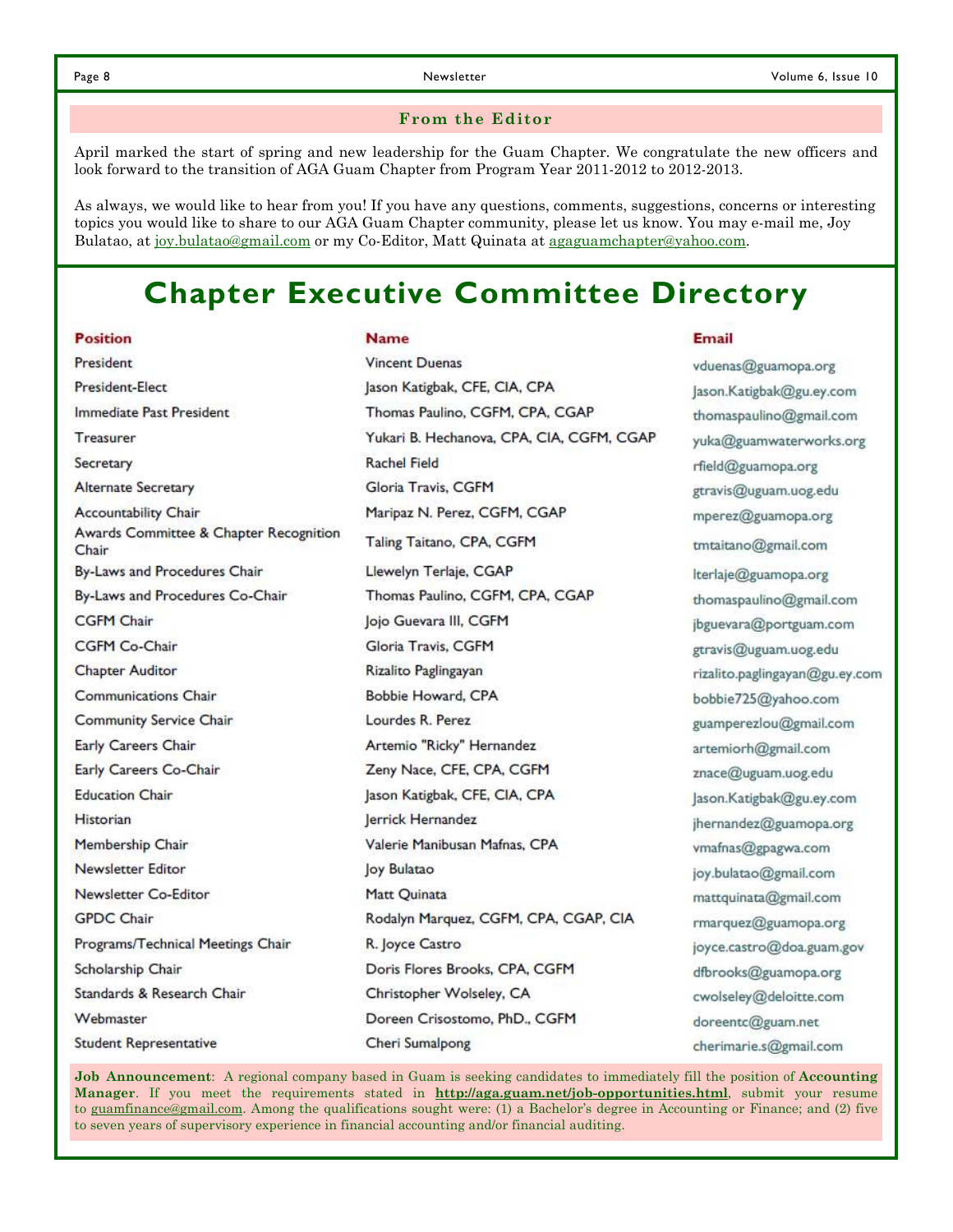Email

#### **From the Editor**

April marked the start of spring and new leadership for the Guam Chapter. We congratulate the new officers and look forward to the transition of AGA Guam Chapter from Program Year 2011-2012 to 2012-2013.

As always, we would like to hear from you! If you have any questions, comments, suggestions, concerns or interesting topics you would like to share to our AGA Guam Chapter community, please let us know. You may e-mail me, Joy Bulatao, at joy.bulatao@gmail.com or my Co-Editor, Matt Quinata at agaguamchapter@yahoo.com.

### **Chapter Executive Committee Directory**

#### **Position**

**Name** 

| President                                       | <b>Vincent Duenas</b>                     | vduenas@guamopa.org            |  |
|-------------------------------------------------|-------------------------------------------|--------------------------------|--|
| President-Elect                                 | Jason Katigbak, CFE, CIA, CPA             | Jason.Katigbak@gu.ey.com       |  |
| Immediate Past President                        | Thomas Paulino, CGFM, CPA, CGAP           | thomaspaulino@gmail.com        |  |
| Treasurer                                       | Yukari B. Hechanova, CPA, CIA, CGFM, CGAP | yuka@guamwaterworks.org        |  |
| Secretary                                       | Rachel Field                              | rfield@guamopa.org             |  |
| <b>Alternate Secretary</b>                      | Gloria Travis, CGFM                       | gtravis@uguam.uog.edu          |  |
| <b>Accountability Chair</b>                     | Maripaz N. Perez, CGFM, CGAP              | mperez@guamopa.org             |  |
| Awards Committee & Chapter Recognition<br>Chair | Taling Taitano, CPA, CGFM                 | tmtaitano@gmail.com            |  |
| By-Laws and Procedures Chair                    | Llewelyn Terlaje, CGAP                    | Iterlaje@guamopa.org           |  |
| By-Laws and Procedures Co-Chair                 | Thomas Paulino, CGFM, CPA, CGAP           | thomaspaulino@gmail.com        |  |
| <b>CGFM Chair</b>                               | Jojo Guevara III, CGFM                    | jbguevara@portguam.com         |  |
| CGFM Co-Chair                                   | Gloria Travis, CGFM                       | gtravis@uguam.uog.edu          |  |
| <b>Chapter Auditor</b>                          | Rizalito Paglingayan                      | rizalito.paglingayan@gu.ey.com |  |
| <b>Communications Chair</b>                     | Bobbie Howard, CPA                        | bobbie725@yahoo.com            |  |
| <b>Community Service Chair</b>                  | Lourdes R. Perez                          | guamperezlou@gmail.com         |  |
| Early Careers Chair                             | Artemio "Ricky" Hernandez                 | artemiorh@gmail.com            |  |
| Early Careers Co-Chair                          | Zeny Nace, CFE, CPA, CGFM                 | znace@uguam.uog.edu            |  |
| <b>Education Chair</b>                          | Jason Katigbak, CFE, CIA, CPA             | Jason.Katigbak@gu.ey.com       |  |
| <b>Historian</b>                                | Jerrick Hernandez                         | jhernandez@guamopa.org         |  |
| Membership Chair                                | Valerie Manibusan Mafnas, CPA             | vmafnas@gpagwa.com             |  |
| Newsletter Editor                               | Joy Bulatao                               | joy.bulatao@gmail.com          |  |
| Newsletter Co-Editor                            | Matt Quinata                              | mattquinata@gmail.com          |  |
| <b>GPDC Chair</b>                               | Rodalyn Marquez, CGFM, CPA, CGAP, CIA     | rmarquez@guamopa.org           |  |
| Programs/Technical Meetings Chair               | R. Joyce Castro                           | joyce.castro@doa.guam.gov      |  |
| Scholarship Chair                               | Doris Flores Brooks, CPA, CGFM            | dfbrooks@guamopa.org           |  |
| Standards & Research Chair                      | Christopher Wolseley, CA                  | cwolseley@deloitte.com         |  |
| Webmaster                                       | Doreen Crisostomo, PhD., CGFM             | doreentc@guam.net              |  |
| <b>Student Representative</b>                   | Cheri Sumalpong                           | cherimarie.s@gmail.com         |  |

**Job Announcement**: A regional company based in Guam is seeking candidates to immediately fill the position of **Accounting Manager**. If you meet the requirements stated in **http://aga.guam.net/job-opportunities.html**, submit your resume to guamfinance@gmail.com. Among the qualifications sought were: (1) a Bachelor's degree in Accounting or Finance; and (2) five to seven years of supervisory experience in financial accounting and/or financial auditing.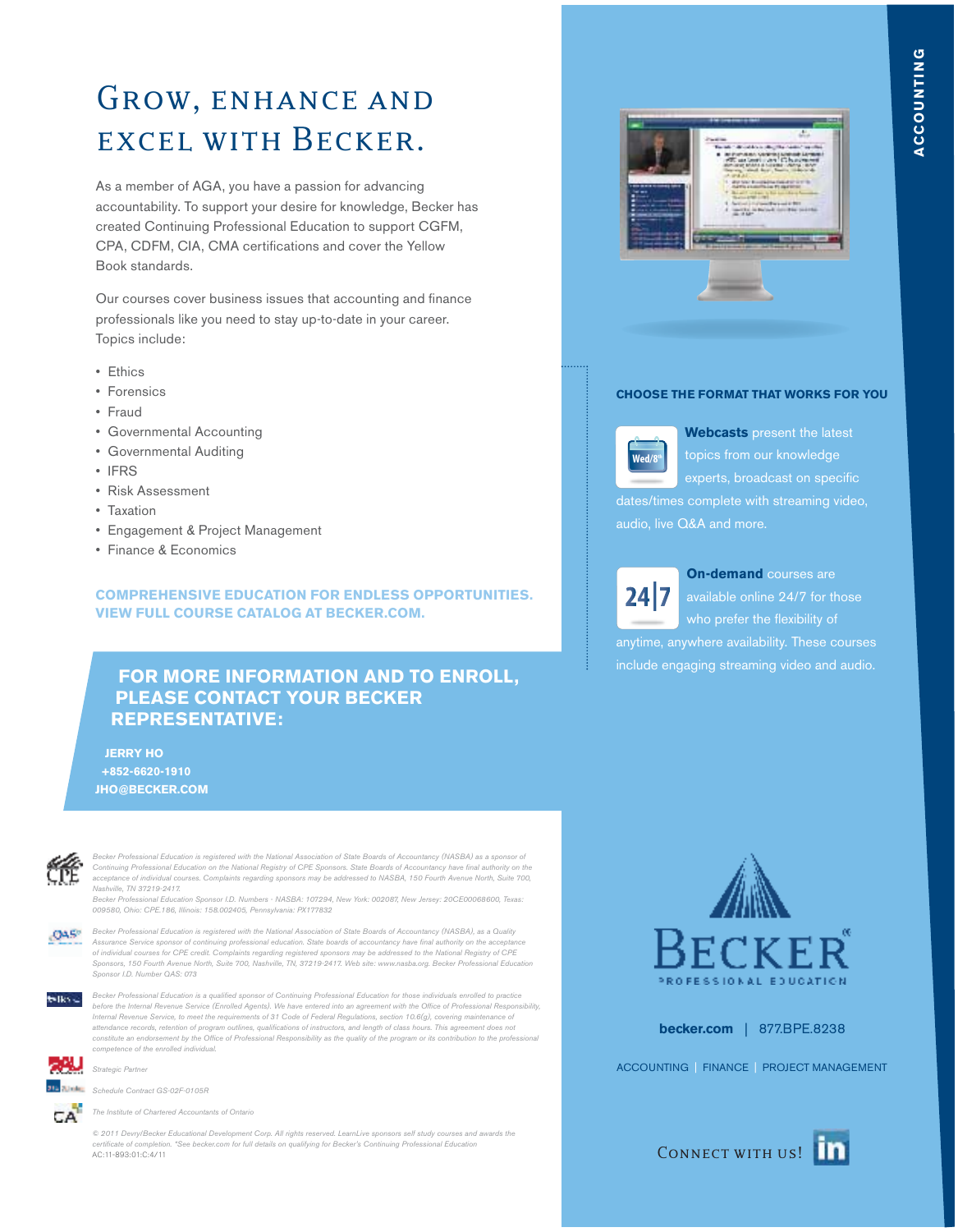### GROW, ENHANCE AND excel with Becker.

As a member of AGA, you have a passion for advancing accountability. To support your desire for knowledge, Becker has created Continuing Professional Education to support CGFM, CPA, CDFM, CIA, CMA certifications and cover the Yellow Book standards.

Our courses cover business issues that accounting and finance professionals like you need to stay up-to-date in your career. Topics include:

- Ethics
- Forensics
- Fraud
- Governmental Accounting
- Governmental Auditing
- IFRS
- Risk Assessment
- Taxation
- Engagement & Project Management
- Finance & Economics

#### **COMPREHENSIVE EDUCATION FOR ENDLESS OPPORTUNITIES. VIEW FULL COURSE CATALOG AT BECKER.COM.**

#### **FOR MORE INFORMATION AND TO ENROLL, PLEASE CONTACT YOUR BECKER REPRESENTATIVE:**

 **JERRY HO +852-6620-1910 JHO@BECKER.COM**



cker Professional Education is registered with the National Association of State Boards of Accountancy (NASBA) as a sponsor of Continuing Professional Education on the National Registry of CPE Sponsors. State Boards of Accountancy have final authority on the acceptance of individual courses. Complaints regarding sponsors may be addressed to NASBA, 150 Fourth Avenue North, Suite 700, Nashville, TN 37219-2417.

.<br>Ion Sponsor I.D. Numbers - NASBA: 107294, New York: 002087, New Jersey: 20CE00068600, Texas 009580, Ohio: CPE.186, Illinois: 158.002405, Pennsylvania: PX177832



Becker Professional Education is registered with the National Association of State Boards of Accountancy (NASBA), as a Quality Assurance Service sponsor of continuing professional education. State boards of accountancy have final authority on the acceptance of individual courses for CPE credit. Complaints regarding registered sponsors may be addressed to the National Registry of CPE Sponsors, 150 Fourth Avenue North, Suite 700, Nashville, TN, 37219-2417. Web site: www.nasba.org. Becker Professional Education Sponsor I.D. Number QAS: 073



Becker Professional Education is a qualified sponsor of Continuing Professional Education for those individuals enrolled to practice before the Internal Revenue Service (Enrolled Agents). We have entered into an agreement with the Office of Professional Responsibility Internal Revenue Service, to meet the requirements of 31 Code of Federal Regulations, section 10.6(g), covering maintenance of<br>attendance records, retention of program outlines, qualifications of instructors, and length of constitute an endorsement by the Office of Professional Responsibility as the quality of the program or its contribution to the professional competence of the enrolled individual.



Schedule Contract GS-02F-0105R

Strategic Partner

The Institute of Chartered Accountants of Ontario

© 2011 Devry/Becker Educational Development Corp. All rights reserved. LearnLive sponsors self study courses and awards the ate of completion. \*See becker.com for full details on qualifying for Becker's Continuing Professional Education AC:11-893:01:C:4/11



#### **CHOOSE THE FORMAT THAT WORKS FOR YOU**



**Webcasts** present the latest topics from our knowledge dates/times complete with streaming video, audio, live Q&A and more.

 $24|7$ 

**On-demand** courses are include engaging streaming video and audio.



**becker.com** | 877.BPE.8238

ACCOUNTING | FINANCE | PROJECT MANAGEMENT